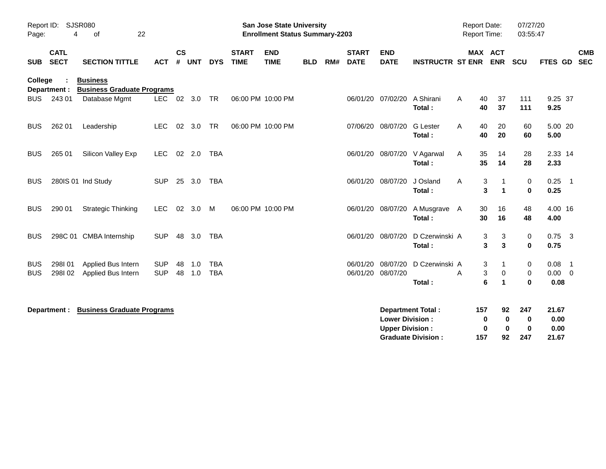| Report ID: SJSR080<br>22<br>Page:<br>4<br>of      |                            |                                                      | <b>San Jose State University</b><br><b>Enrollment Status Summary-2203</b> |           |          |            |                             |                           |            |                          |                             |                           |                           | <b>Report Date:</b><br>Report Time: |          |                           | 07/27/20<br>03:55:47    |                  |                |                          |
|---------------------------------------------------|----------------------------|------------------------------------------------------|---------------------------------------------------------------------------|-----------|----------|------------|-----------------------------|---------------------------|------------|--------------------------|-----------------------------|---------------------------|---------------------------|-------------------------------------|----------|---------------------------|-------------------------|------------------|----------------|--------------------------|
| <b>SUB</b>                                        | <b>CATL</b><br><b>SECT</b> | <b>SECTION TITTLE</b>                                | <b>ACT</b>                                                                | <b>CS</b> | # UNT    | <b>DYS</b> | <b>START</b><br><b>TIME</b> | <b>END</b><br><b>TIME</b> | <b>BLD</b> | RM#                      | <b>START</b><br><b>DATE</b> | <b>END</b><br><b>DATE</b> | <b>INSTRUCTR ST ENR</b>   |                                     |          | MAX ACT<br><b>ENR</b>     | <b>SCU</b>              | FTES GD          |                | <b>CMB</b><br><b>SEC</b> |
| <b>College</b>                                    | Department :               | <b>Business</b><br><b>Business Graduate Programs</b> |                                                                           |           |          |            |                             |                           |            |                          |                             |                           |                           |                                     |          |                           |                         |                  |                |                          |
| <b>BUS</b>                                        | 243 01                     | Database Mgmt                                        | <b>LEC</b>                                                                | 02        | 3.0      | TR         | 06:00 PM 10:00 PM           |                           |            |                          | 06/01/20                    | 07/02/20                  | A Shirani<br>Total:       | A                                   | 40<br>40 | 37<br>37                  | 111<br>111              | 9.25 37<br>9.25  |                |                          |
| <b>BUS</b>                                        | 262 01                     | Leadership                                           | <b>LEC</b>                                                                | 02        | 3.0      | <b>TR</b>  | 06:00 PM 10:00 PM           |                           |            |                          | 07/06/20                    | 08/07/20                  | G Lester<br>Total:        | A                                   | 40<br>40 | 20<br>20                  | 60<br>60                | 5.00 20<br>5.00  |                |                          |
| <b>BUS</b>                                        | 265 01                     | Silicon Valley Exp                                   | <b>LEC</b>                                                                |           | $02$ 2.0 | <b>TBA</b> |                             |                           |            |                          |                             | 06/01/20 08/07/20         | V Agarwal<br>Total:       | A                                   | 35<br>35 | 14<br>14                  | 28<br>28                | 2.33 14<br>2.33  |                |                          |
| <b>BUS</b>                                        |                            | 280IS 01 Ind Study                                   | <b>SUP</b>                                                                | 25        | 3.0      | <b>TBA</b> |                             |                           |            |                          |                             | 06/01/20 08/07/20         | J Osland<br>Total:        | A                                   | 3<br>3   | 1<br>$\mathbf{1}$         | 0<br>$\mathbf 0$        | 0.25<br>0.25     | $\overline{1}$ |                          |
| <b>BUS</b>                                        | 290 01                     | <b>Strategic Thinking</b>                            | <b>LEC</b>                                                                | 02        | 3.0      | M          |                             | 06:00 PM 10:00 PM         |            |                          | 06/01/20                    | 08/07/20                  | A Musgrave A<br>Total:    |                                     | 30<br>30 | 16<br>16                  | 48<br>48                | 4.00 16<br>4.00  |                |                          |
| <b>BUS</b>                                        |                            | 298C 01 CMBA Internship                              | <b>SUP</b>                                                                |           | 48 3.0   | TBA        |                             |                           |            |                          | 06/01/20 08/07/20           |                           | D Czerwinski A<br>Total:  |                                     | 3<br>3   | 3<br>3                    | 0<br>0                  | $0.75$ 3<br>0.75 |                |                          |
| <b>BUS</b>                                        | 298101                     | Applied Bus Intern                                   | <b>SUP</b>                                                                | 48        | $-1.0$   | <b>TBA</b> |                             |                           |            |                          | 06/01/20                    | 08/07/20                  | D Czerwinski A            |                                     | 3        | 1                         | 0                       | 0.08             | $\overline{1}$ |                          |
| <b>BUS</b>                                        | 298102                     | Applied Bus Intern                                   | <b>SUP</b>                                                                | 48        | 1.0      | <b>TBA</b> |                             |                           |            |                          | 06/01/20                    | 08/07/20                  | Total:                    | A                                   | 3<br>6   | 0<br>$\blacktriangleleft$ | $\mathbf 0$<br>$\bf{0}$ | 0.00<br>0.08     | $\overline{0}$ |                          |
| <b>Business Graduate Programs</b><br>Department : |                            |                                                      |                                                                           |           |          |            |                             |                           |            | <b>Department Total:</b> |                             |                           | 157                       | 92                                  | 247      | 21.67                     |                         |                  |                |                          |
|                                                   |                            |                                                      |                                                                           |           |          |            |                             |                           |            |                          |                             | <b>Lower Division:</b>    |                           |                                     | 0        | $\mathbf 0$               | $\mathbf 0$             | 0.00             |                |                          |
|                                                   |                            |                                                      |                                                                           |           |          |            |                             |                           |            |                          |                             | <b>Upper Division:</b>    |                           |                                     | 0        | $\mathbf 0$               | $\mathbf 0$             | 0.00             |                |                          |
|                                                   |                            |                                                      |                                                                           |           |          |            |                             |                           |            |                          |                             |                           | <b>Graduate Division:</b> |                                     | 157      | 92                        | 247                     | 21.67            |                |                          |